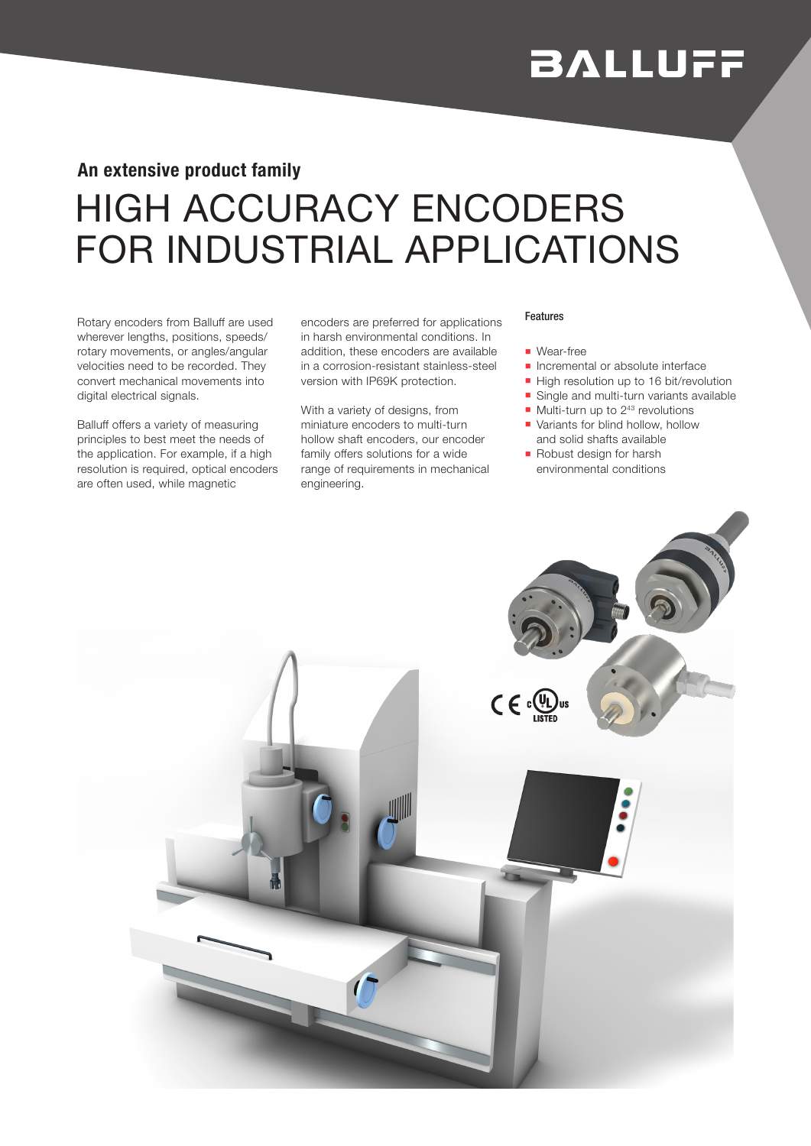# **BALLUFF**

### An extensive product family

## HIGH ACCURACY ENCODERS FOR INDUSTRIAL APPLICATIONS

Rotary encoders from Balluff are used wherever lengths, positions, speeds/ rotary movements, or angles/angular velocities need to be recorded. They convert mechanical movements into digital electrical signals.

Balluff offers a variety of measuring principles to best meet the needs of the application. For example, if a high resolution is required, optical encoders are often used, while magnetic

encoders are preferred for applications in harsh environmental conditions. In addition, these encoders are available in a corrosion-resistant stainless-steel version with IP69K protection.

With a variety of designs, from miniature encoders to multi-turn hollow shaft encoders, our encoder family offers solutions for a wide range of requirements in mechanical engineering.

#### Features

- **Near-free**
- **n** Incremental or absolute interface
- High resolution up to 16 bit/revolution
- **n** Single and multi-turn variants available
- $\blacksquare$  Multi-turn up to 2<sup>43</sup> revolutions
- $\blacksquare$  Variants for blind hollow, hollow and solid shafts available
- Robust design for harsh environmental conditions